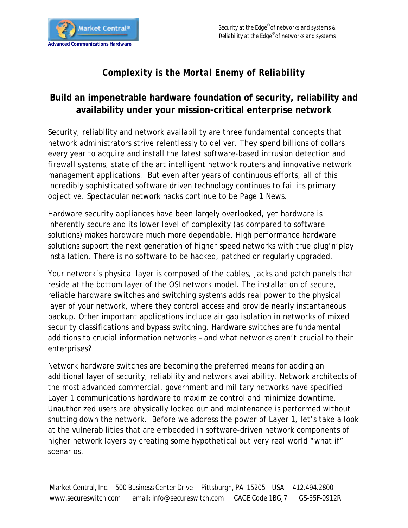

## *Complexity is the Mortal Enemy of Reliability*

## **Build an impenetrable hardware foundation of security, reliability and availability under your mission-critical enterprise network**

Security, reliability and network availability are three fundamental concepts that network administrators strive relentlessly to deliver. They spend billions of dollars every year to acquire and install the latest software-based intrusion detection and firewall systems, state of the art intelligent network routers and innovative network management applications. But even after years of continuous efforts, all of this incredibly sophisticated software driven technology continues to fail its primary objective. Spectacular network hacks continue to be Page 1 News.

Hardware security appliances have been largely overlooked, yet hardware is inherently secure and its lower level of complexity (as compared to software solutions) makes hardware much more dependable. High performance hardware solutions support the next generation of higher speed networks with true plug'n'play installation. There is no software to be hacked, patched or regularly upgraded.

Your network's physical layer is composed of the cables, jacks and patch panels that reside at the bottom layer of the OSI network model. The installation of secure, reliable hardware switches and switching systems adds real power to the physical layer of your network, where they control access and provide nearly instantaneous backup. Other important applications include air gap isolation in networks of mixed security classifications and bypass switching. Hardware switches are fundamental additions to crucial information networks – and what networks aren't crucial to their enterprises?

Network hardware switches are becoming the preferred means for adding an additional layer of security, reliability and network availability. Network architects of the most advanced commercial, government and military networks have specified Layer 1 communications hardware to maximize control and minimize downtime. Unauthorized users are physically locked out and maintenance is performed without shutting down the network. Before we address the power of Layer 1, let's take a look at the vulnerabilities that are embedded in software-driven network components of higher network layers by creating some hypothetical but very real world "what if" scenarios.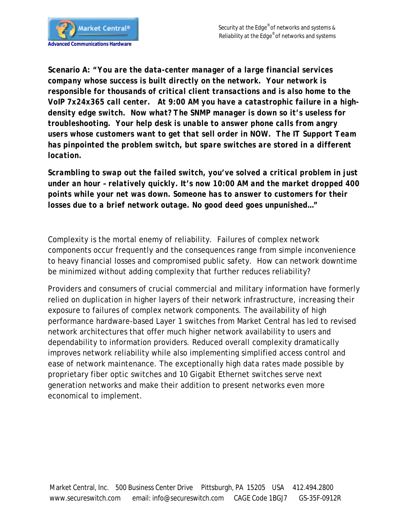

**Scenario A:** *"You are the data-center manager of a large financial services company whose success is built directly on the network. Your network is responsible for thousands of critical client transactions and is also home to the VoIP 7x24x365 call center. At 9:00 AM you have a catastrophic failure in a highdensity edge switch. Now what? The SNMP manager is down so it's useless for troubleshooting. Your help desk is unable to answer phone calls from angry users whose customers want to get that sell order in NOW. The IT Support Team has pinpointed the problem switch, but spare switches are stored in a different location.* 

*Scrambling to swap out the failed switch, you've solved a critical problem in just under an hour – relatively quickly. It's now 10:00 AM and the market dropped 400 points while your net was down. Someone has to answer to customers for their losses due to a brief network outage. No good deed goes unpunished…"*

Complexity is the mortal enemy of reliability. Failures of complex network components occur frequently and the consequences range from simple inconvenience to heavy financial losses and compromised public safety. How can network downtime be minimized without adding complexity that further reduces reliability?

Providers and consumers of crucial commercial and military information have formerly relied on duplication in higher layers of their network infrastructure, increasing their exposure to failures of complex network components. The availability of high performance hardware-based Layer 1 switches from Market Central has led to revised network architectures that offer much higher network availability to users and dependability to information providers. Reduced overall complexity dramatically improves network reliability while also implementing simplified access control and ease of network maintenance. The exceptionally high data rates made possible by proprietary fiber optic switches and 10 Gigabit Ethernet switches serve next generation networks and make their addition to present networks even more economical to implement.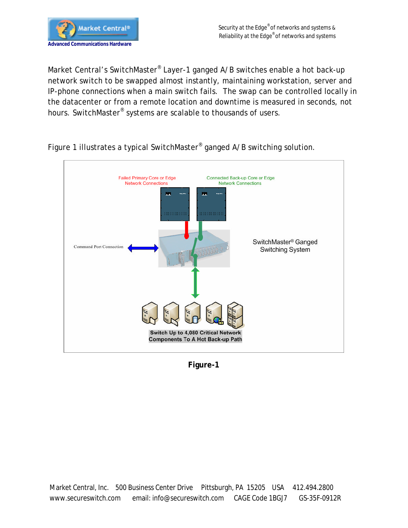

Market Central's SwitchMaster® Layer-1 ganged A/B switches enable a hot back-up network switch to be swapped almost instantly, maintaining workstation, server and IP-phone connections when a main switch fails. The swap can be controlled locally in the datacenter or from a remote location and downtime is measured in seconds, not hours. SwitchMaster® systems are scalable to thousands of users.



Figure 1 illustrates a typical SwitchMaster® ganged A/B switching solution.

**Figure-1**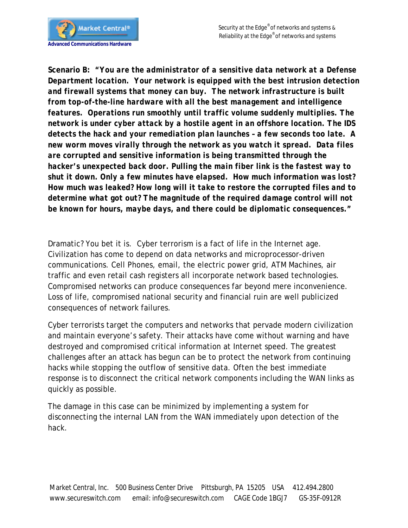

**Scenario B:** *"You are the administrator of a sensitive data network at a Defense Department location. Your network is equipped with the best intrusion detection and firewall systems that money can buy. The network infrastructure is built from top-of-the-line hardware with all the best management and intelligence features. Operations run smoothly until traffic volume suddenly multiplies. The network is under cyber attack by a hostile agent in an offshore location. The IDS detects the hack and your remediation plan launches – a few seconds too late. A new worm moves virally through the network as you watch it spread. Data files are corrupted and sensitive information is being transmitted through the hacker's unexpected back door. Pulling the main fiber link is the fastest way to shut it down. Only a few minutes have elapsed. How much information was lost? How much was leaked? How long will it take to restore the corrupted files and to determine what got out? The magnitude of the required damage control will not be known for hours, maybe days, and there could be diplomatic consequences."*

Dramatic? You bet it is. Cyber terrorism is a fact of life in the Internet age. Civilization has come to depend on data networks and microprocessor-driven communications. Cell Phones, email, the electric power grid, ATM Machines, air traffic and even retail cash registers all incorporate network based technologies. Compromised networks can produce consequences far beyond mere inconvenience. Loss of life, compromised national security and financial ruin are well publicized consequences of network failures.

Cyber terrorists target the computers and networks that pervade modern civilization and maintain everyone's safety. Their attacks have come without warning and have destroyed and compromised critical information at Internet speed. The greatest challenges after an attack has begun can be to protect the network from continuing hacks while stopping the outflow of sensitive data. Often the best immediate response is to disconnect the critical network components including the WAN links as quickly as possible.

The damage in this case can be minimized by implementing a system for disconnecting the internal LAN from the WAN immediately upon detection of the hack.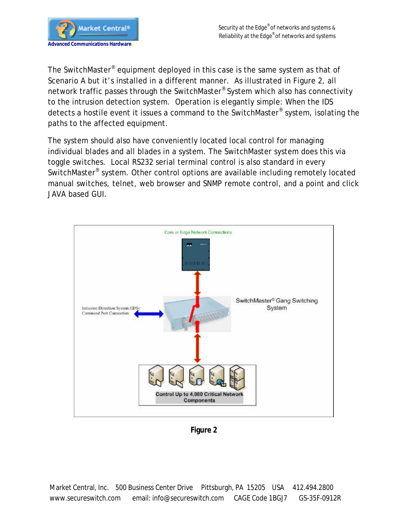

The SwitchMaster® equipment deployed in this case is the same system as that of Scenario A but it's installed in a different manner. As illustrated in Figure 2, all network traffic passes through the SwitchMaster® System which also has connectivity to the intrusion detection system. Operation is elegantly simple: When the IDS detects a hostile event it issues a command to the SwitchMaster® system, isolating the paths to the affected equipment.

The system should also have conveniently located local control for managing individual blades and all blades in a system. The SwitchMaster system does this via toggle switches. Local RS232 serial terminal control is also standard in every SwitchMaster<sup>®</sup> system. Other control options are available including remotely located manual switches, telnet, web browser and SNMP remote control, and a point and click JAVA based GUI.



**Figure 2**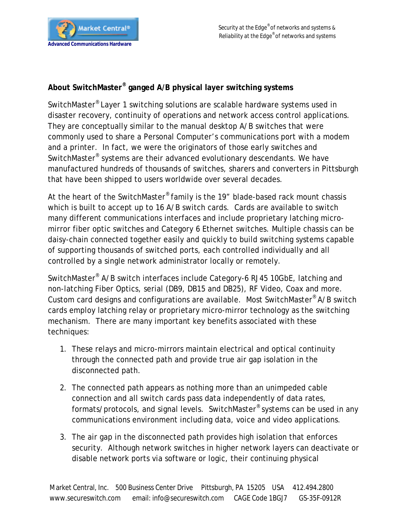## **About SwitchMaster® ganged A/B physical layer switching systems**

SwitchMaster® Layer 1 switching solutions are scalable hardware systems used in disaster recovery, continuity of operations and network access control applications. They are conceptually similar to the manual desktop A/B switches that were commonly used to share a Personal Computer's communications port with a modem and a printer. In fact, we were the originators of those early switches and SwitchMaster® systems are their advanced evolutionary descendants. We have manufactured hundreds of thousands of switches, sharers and converters in Pittsburgh that have been shipped to users worldwide over several decades.

At the heart of the SwitchMaster® family is the 19" blade-based rack mount chassis which is built to accept up to 16 A/B switch cards. Cards are available to switch many different communications interfaces and include proprietary latching micromirror fiber optic switches and Category 6 Ethernet switches. Multiple chassis can be daisy-chain connected together easily and quickly to build switching systems capable of supporting thousands of switched ports, each controlled individually and all controlled by a single network administrator locally or remotely.

SwitchMaster® A/B switch interfaces include Category-6 RJ45 10GbE, latching and non-latching Fiber Optics, serial (DB9, DB15 and DB25), RF Video, Coax and more. Custom card designs and configurations are available. Most SwitchMaster® A/B switch cards employ latching relay or proprietary micro-mirror technology as the switching mechanism. There are many important key benefits associated with these techniques:

- 1. These relays and micro-mirrors maintain electrical and optical continuity through the connected path and provide true air gap isolation in the disconnected path.
- 2. The connected path appears as nothing more than an unimpeded cable connection and all switch cards pass data independently of data rates, formats/protocols, and signal levels. SwitchMaster® systems can be used in any communications environment including data, voice and video applications.
- 3. The air gap in the disconnected path provides high isolation that enforces security. Although network switches in higher network layers can deactivate or disable network ports via software or logic, their continuing physical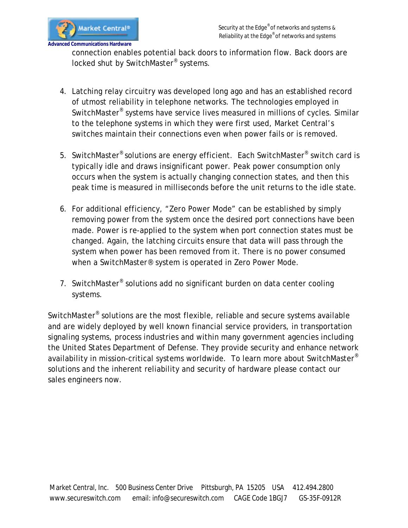

connection enables potential back doors to information flow. Back doors are locked shut by SwitchMaster<sup>®</sup> systems.

- 4. Latching relay circuitry was developed long ago and has an established record of utmost reliability in telephone networks. The technologies employed in SwitchMaster® systems have service lives measured in millions of cycles. Similar to the telephone systems in which they were first used, Market Central's switches maintain their connections even when power fails or is removed.
- 5. SwitchMaster® solutions are energy efficient. Each SwitchMaster® switch card is typically idle and draws insignificant power. Peak power consumption only occurs when the system is actually changing connection states, and then this peak time is measured in milliseconds before the unit returns to the idle state.
- 6. For additional efficiency, "*Zero Power Mode*" can be established by simply removing power from the system once the desired port connections have been made. Power is re-applied to the system when port connection states must be changed. Again, the latching circuits ensure that data will pass through the system when power has been removed from it. There is no power consumed when a SwitchMaster® system is operated in Zero Power Mode.
- 7. SwitchMaster<sup>®</sup> solutions add no significant burden on data center cooling systems.

SwitchMaster® solutions are the most flexible, reliable and secure systems available and are widely deployed by well known financial service providers, in transportation signaling systems, process industries and within many government agencies including the United States Department of Defense. They provide security and enhance network availability in mission-critical systems worldwide. To learn more about SwitchMaster® solutions and the inherent reliability and security of hardware please contact our sales engineers now.